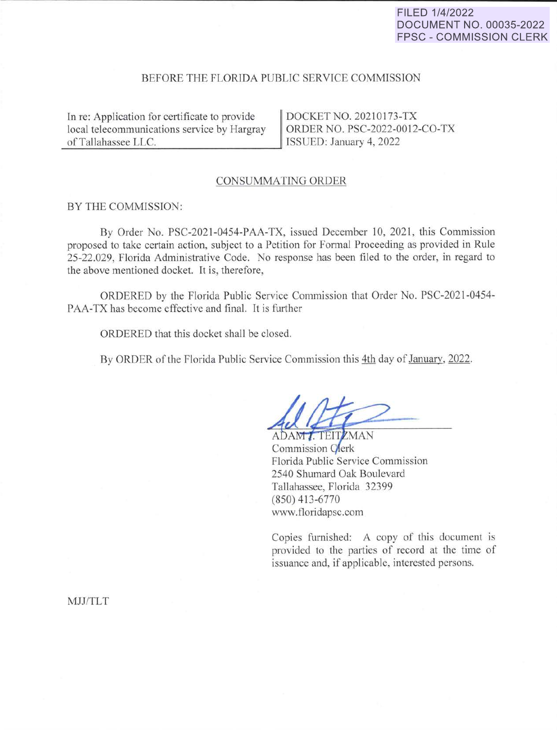# FILED 1/4/2022 **DOCUMENT NO. 00035-2022 FPSC - COMMISSION CLERK**

## BEFORE THE FLORIDA PUBLIC SERVICE COMMISSION

In re: Application for certificate to provide local telecommunications service by Hargray<br>
of Tallahassee LLC.

DOCKET NO. 20210173-TX ORDER NO. PSC-2022-0012-CO-TX ISSUED: January 4, 2022

#### CONSUMMATING ORDER

#### BY THE COMMISSION:

By Order No. PSC-2021-0454-PAA-TX, issued December 10, 2021, this Commission proposed to take certain action, subject to a Petition for Fonnal Proceeding as provided in Rule 25-22.029, Florida Administrative Code. No response has been filed to the order, in regard to the above mentioned docket. It is, therefore,

ORDERED by the Florida Public Service Commission that Order No. PSC-2021-0454- PAA-TX has become effective and final. It is further

ORDERED that this docket shall be closed.

By ORDER of the Florida Public Service Commission this 4th day of January, 2022.

ADAM J. TEITZMAN Commission Clerk Florida Public Service Commission 2540 Shumard Oak Boulevard Tallahassee, Florida 32399 (850) 413-6770 www.floridapsc.com

Copies furnished: A copy of this document is provided to the parties of record at the time of issuance and, if applicable, interested persons.

MJJ/TLT